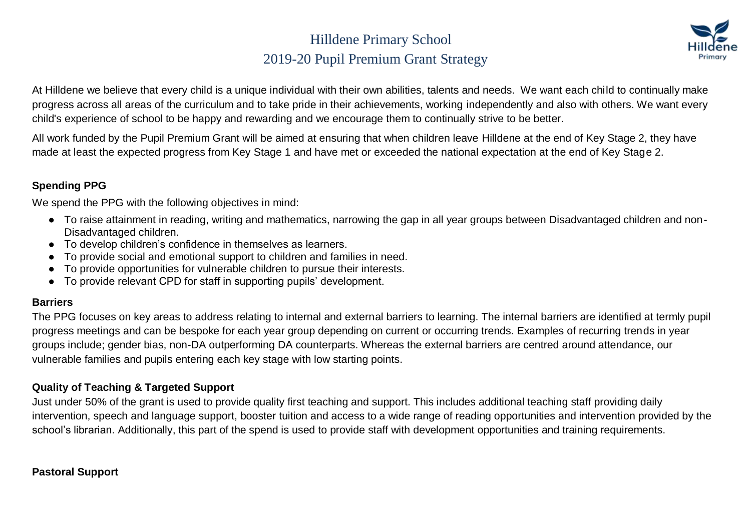## Hilldene Primary School 2019-20 Pupil Premium Grant Strategy



At Hilldene we believe that every child is a unique individual with their own abilities, talents and needs. We want each child to continually make progress across all areas of the curriculum and to take pride in their achievements, working independently and also with others. We want every child's experience of school to be happy and rewarding and we encourage them to continually strive to be better.

All work funded by the Pupil Premium Grant will be aimed at ensuring that when children leave Hilldene at the end of Key Stage 2, they have made at least the expected progress from Key Stage 1 and have met or exceeded the national expectation at the end of Key Stage 2.

#### **Spending PPG**

We spend the PPG with the following objectives in mind:

- To raise attainment in reading, writing and mathematics, narrowing the gap in all year groups between Disadvantaged children and non-Disadvantaged children.
- To develop children's confidence in themselves as learners.
- To provide social and emotional support to children and families in need.
- To provide opportunities for vulnerable children to pursue their interests.
- To provide relevant CPD for staff in supporting pupils' development.

#### **Barriers**

The PPG focuses on key areas to address relating to internal and external barriers to learning. The internal barriers are identified at termly pupil progress meetings and can be bespoke for each year group depending on current or occurring trends. Examples of recurring trends in year groups include; gender bias, non-DA outperforming DA counterparts. Whereas the external barriers are centred around attendance, our vulnerable families and pupils entering each key stage with low starting points.

#### **Quality of Teaching & Targeted Support**

Just under 50% of the grant is used to provide quality first teaching and support. This includes additional teaching staff providing daily intervention, speech and language support, booster tuition and access to a wide range of reading opportunities and intervention provided by the school's librarian. Additionally, this part of the spend is used to provide staff with development opportunities and training requirements.

#### **Pastoral Support**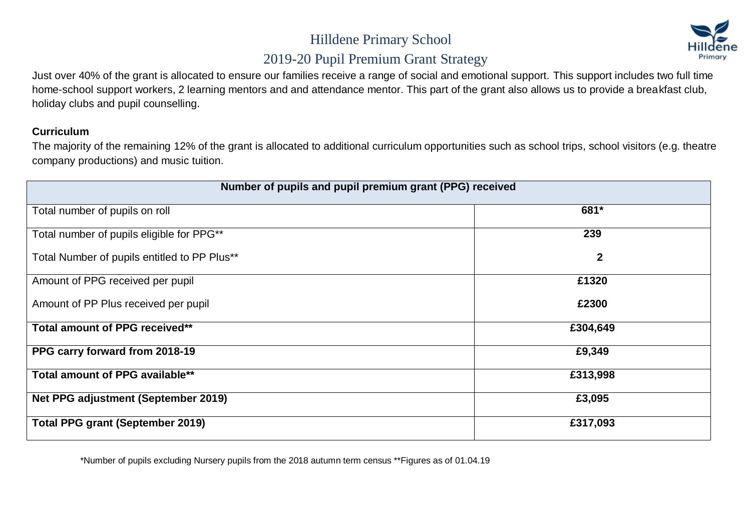

## 2019-20 Pupil Premium Grant Strategy

Just over 40% of the grant is allocated to ensure our families receive a range of social and emotional support. This support includes two full time home-school support workers, 2 learning mentors and and attendance mentor. This part of the grant also allows us to provide a breakfast club, holiday clubs and pupil counselling.

#### **Curriculum**

The majority of the remaining 12% of the grant is allocated to additional curriculum opportunities such as school trips, school visitors (e.g. theatre company productions) and music tuition.

| Number of pupils and pupil premium grant (PPG) received |              |  |  |
|---------------------------------------------------------|--------------|--|--|
| Total number of pupils on roll                          | 681*         |  |  |
| Total number of pupils eligible for PPG**               | 239          |  |  |
| Total Number of pupils entitled to PP Plus**            | $\mathbf{2}$ |  |  |
| Amount of PPG received per pupil                        | £1320        |  |  |
| Amount of PP Plus received per pupil                    | £2300        |  |  |
| Total amount of PPG received**                          | £304,649     |  |  |
| PPG carry forward from 2018-19                          | £9,349       |  |  |
| Total amount of PPG available**                         | £313,998     |  |  |
| Net PPG adjustment (September 2019)                     | £3,095       |  |  |
| <b>Total PPG grant (September 2019)</b>                 | £317,093     |  |  |

\*Number of pupils excluding Nursery pupils from the 2018 autumn term census \*\*Figures as of 01.04.19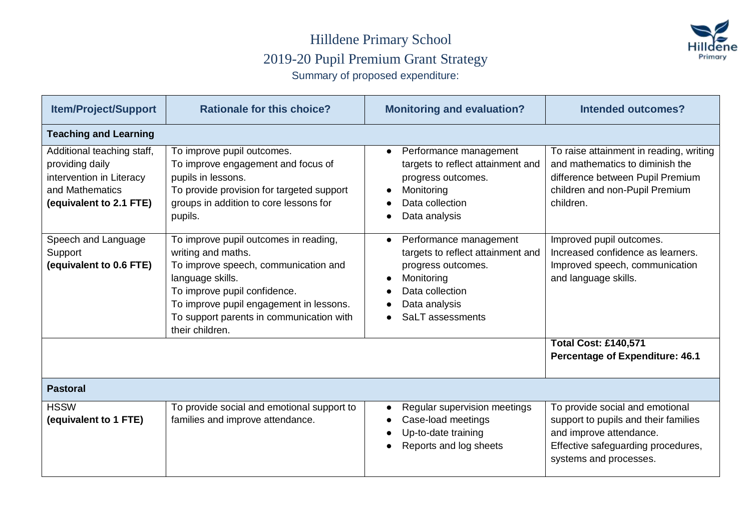#### Hilldene Primary School 2019-20 Pupil Premium Grant Strategy Summary of proposed expenditure:



| <b>Item/Project/Support</b>                                                                                             | <b>Rationale for this choice?</b>                                                                                                                                                                                                                                 | <b>Monitoring and evaluation?</b>                                                                                                                       | <b>Intended outcomes?</b>                                                                                                                                          |
|-------------------------------------------------------------------------------------------------------------------------|-------------------------------------------------------------------------------------------------------------------------------------------------------------------------------------------------------------------------------------------------------------------|---------------------------------------------------------------------------------------------------------------------------------------------------------|--------------------------------------------------------------------------------------------------------------------------------------------------------------------|
| <b>Teaching and Learning</b>                                                                                            |                                                                                                                                                                                                                                                                   |                                                                                                                                                         |                                                                                                                                                                    |
| Additional teaching staff,<br>providing daily<br>intervention in Literacy<br>and Mathematics<br>(equivalent to 2.1 FTE) | To improve pupil outcomes.<br>To improve engagement and focus of<br>pupils in lessons.<br>To provide provision for targeted support<br>groups in addition to core lessons for<br>pupils.                                                                          | Performance management<br>$\bullet$<br>targets to reflect attainment and<br>progress outcomes.<br>Monitoring<br>Data collection<br>Data analysis        | To raise attainment in reading, writing<br>and mathematics to diminish the<br>difference between Pupil Premium<br>children and non-Pupil Premium<br>children.      |
| Speech and Language<br>Support<br>(equivalent to 0.6 FTE)                                                               | To improve pupil outcomes in reading,<br>writing and maths.<br>To improve speech, communication and<br>language skills.<br>To improve pupil confidence.<br>To improve pupil engagement in lessons.<br>To support parents in communication with<br>their children. | Performance management<br>targets to reflect attainment and<br>progress outcomes.<br>Monitoring<br>Data collection<br>Data analysis<br>SaLT assessments | Improved pupil outcomes.<br>Increased confidence as learners.<br>Improved speech, communication<br>and language skills.                                            |
|                                                                                                                         |                                                                                                                                                                                                                                                                   |                                                                                                                                                         | <b>Total Cost: £140,571</b><br><b>Percentage of Expenditure: 46.1</b>                                                                                              |
| <b>Pastoral</b>                                                                                                         |                                                                                                                                                                                                                                                                   |                                                                                                                                                         |                                                                                                                                                                    |
| <b>HSSW</b><br>(equivalent to 1 FTE)                                                                                    | To provide social and emotional support to<br>families and improve attendance.                                                                                                                                                                                    | Regular supervision meetings<br>Case-load meetings<br>Up-to-date training<br>Reports and log sheets                                                     | To provide social and emotional<br>support to pupils and their families<br>and improve attendance.<br>Effective safeguarding procedures,<br>systems and processes. |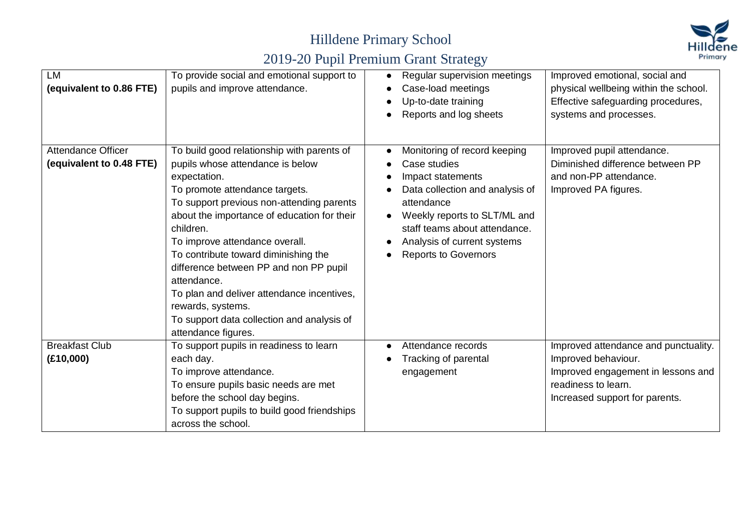

| <b>LM</b><br>(equivalent to 0.86 FTE)                 | To provide social and emotional support to<br>pupils and improve attendance.                                                                                                                                                                                                                                                                                                                                                                                                                                         | Regular supervision meetings<br>Case-load meetings<br>Up-to-date training<br>Reports and log sheets                                                                                                                                               | Improved emotional, social and<br>physical wellbeing within the school.<br>Effective safeguarding procedures,<br>systems and processes.                    |
|-------------------------------------------------------|----------------------------------------------------------------------------------------------------------------------------------------------------------------------------------------------------------------------------------------------------------------------------------------------------------------------------------------------------------------------------------------------------------------------------------------------------------------------------------------------------------------------|---------------------------------------------------------------------------------------------------------------------------------------------------------------------------------------------------------------------------------------------------|------------------------------------------------------------------------------------------------------------------------------------------------------------|
| <b>Attendance Officer</b><br>(equivalent to 0.48 FTE) | To build good relationship with parents of<br>pupils whose attendance is below<br>expectation.<br>To promote attendance targets.<br>To support previous non-attending parents<br>about the importance of education for their<br>children.<br>To improve attendance overall.<br>To contribute toward diminishing the<br>difference between PP and non PP pupil<br>attendance.<br>To plan and deliver attendance incentives,<br>rewards, systems.<br>To support data collection and analysis of<br>attendance figures. | Monitoring of record keeping<br>Case studies<br>Impact statements<br>Data collection and analysis of<br>attendance<br>Weekly reports to SLT/ML and<br>staff teams about attendance.<br>Analysis of current systems<br><b>Reports to Governors</b> | Improved pupil attendance.<br>Diminished difference between PP<br>and non-PP attendance.<br>Improved PA figures.                                           |
| <b>Breakfast Club</b><br>(E10,000)                    | To support pupils in readiness to learn<br>each day.<br>To improve attendance.<br>To ensure pupils basic needs are met<br>before the school day begins.<br>To support pupils to build good friendships<br>across the school.                                                                                                                                                                                                                                                                                         | Attendance records<br>Tracking of parental<br>engagement                                                                                                                                                                                          | Improved attendance and punctuality.<br>Improved behaviour.<br>Improved engagement in lessons and<br>readiness to learn.<br>Increased support for parents. |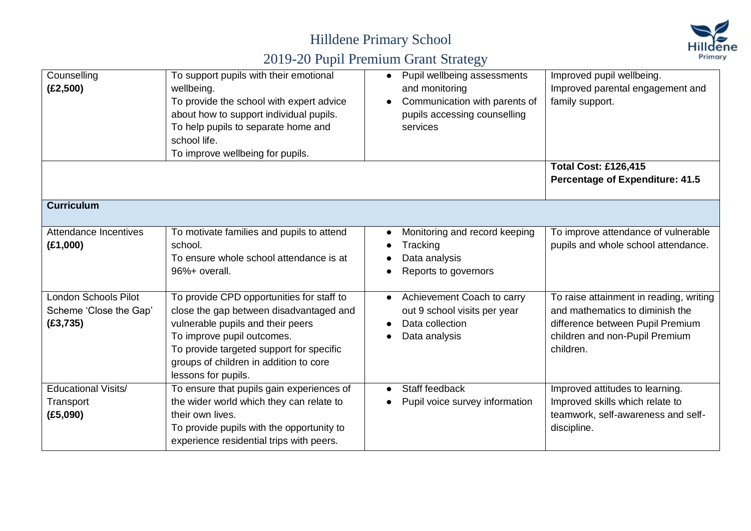



| Counselling<br>(E2,500)                                            | To support pupils with their emotional<br>wellbeing.<br>To provide the school with expert advice<br>about how to support individual pupils.<br>To help pupils to separate home and<br>school life.<br>To improve wellbeing for pupils.                               | Pupil wellbeing assessments<br>$\bullet$<br>and monitoring<br>Communication with parents of<br>pupils accessing counselling<br>services | Improved pupil wellbeing.<br>Improved parental engagement and<br>family support.                                                                              |
|--------------------------------------------------------------------|----------------------------------------------------------------------------------------------------------------------------------------------------------------------------------------------------------------------------------------------------------------------|-----------------------------------------------------------------------------------------------------------------------------------------|---------------------------------------------------------------------------------------------------------------------------------------------------------------|
|                                                                    |                                                                                                                                                                                                                                                                      |                                                                                                                                         | <b>Total Cost: £126,415</b><br><b>Percentage of Expenditure: 41.5</b>                                                                                         |
| <b>Curriculum</b>                                                  |                                                                                                                                                                                                                                                                      |                                                                                                                                         |                                                                                                                                                               |
| Attendance Incentives<br>(E1,000)                                  | To motivate families and pupils to attend<br>school.<br>To ensure whole school attendance is at<br>96%+ overall.                                                                                                                                                     | Monitoring and record keeping<br>Tracking<br>Data analysis<br>Reports to governors                                                      | To improve attendance of vulnerable<br>pupils and whole school attendance.                                                                                    |
| <b>London Schools Pilot</b><br>Scheme 'Close the Gap'<br>(E3, 735) | To provide CPD opportunities for staff to<br>close the gap between disadvantaged and<br>vulnerable pupils and their peers<br>To improve pupil outcomes.<br>To provide targeted support for specific<br>groups of children in addition to core<br>lessons for pupils. | Achievement Coach to carry<br>out 9 school visits per year<br>Data collection<br>Data analysis                                          | To raise attainment in reading, writing<br>and mathematics to diminish the<br>difference between Pupil Premium<br>children and non-Pupil Premium<br>children. |
| Educational Visits/<br>Transport<br>(E5,090)                       | To ensure that pupils gain experiences of<br>the wider world which they can relate to<br>their own lives.<br>To provide pupils with the opportunity to<br>experience residential trips with peers.                                                                   | Staff feedback<br>Pupil voice survey information                                                                                        | Improved attitudes to learning.<br>Improved skills which relate to<br>teamwork, self-awareness and self-<br>discipline.                                       |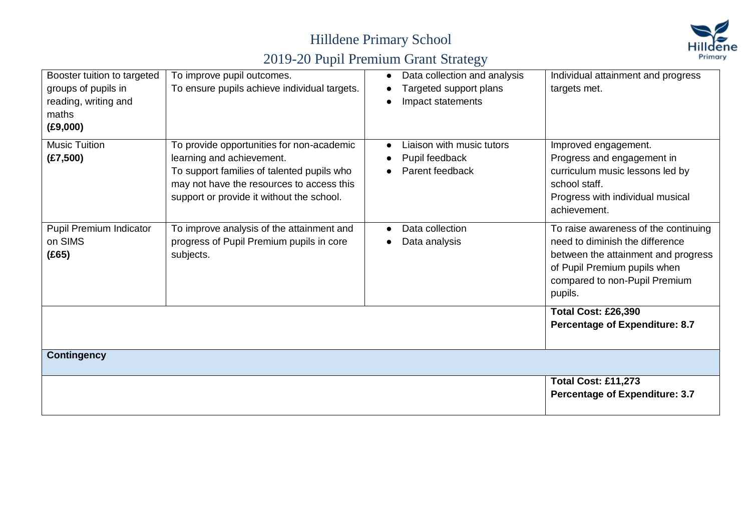

| Booster tuition to targeted<br>groups of pupils in<br>reading, writing and<br>maths<br>(E9,000) | To improve pupil outcomes.<br>To ensure pupils achieve individual targets.                                                                                                                                     | Data collection and analysis<br>Targeted support plans<br>Impact statements | Individual attainment and progress<br>targets met.                                                                                                                                         |
|-------------------------------------------------------------------------------------------------|----------------------------------------------------------------------------------------------------------------------------------------------------------------------------------------------------------------|-----------------------------------------------------------------------------|--------------------------------------------------------------------------------------------------------------------------------------------------------------------------------------------|
| <b>Music Tuition</b><br>(E7,500)                                                                | To provide opportunities for non-academic<br>learning and achievement.<br>To support families of talented pupils who<br>may not have the resources to access this<br>support or provide it without the school. | Liaison with music tutors<br>Pupil feedback<br>Parent feedback              | Improved engagement.<br>Progress and engagement in<br>curriculum music lessons led by<br>school staff.<br>Progress with individual musical<br>achievement.                                 |
| Pupil Premium Indicator<br>on SIMS<br>(E65)                                                     | To improve analysis of the attainment and<br>progress of Pupil Premium pupils in core<br>subjects.                                                                                                             | Data collection<br>Data analysis                                            | To raise awareness of the continuing<br>need to diminish the difference<br>between the attainment and progress<br>of Pupil Premium pupils when<br>compared to non-Pupil Premium<br>pupils. |
|                                                                                                 |                                                                                                                                                                                                                |                                                                             | <b>Total Cost: £26,390</b><br><b>Percentage of Expenditure: 8.7</b>                                                                                                                        |
| <b>Contingency</b>                                                                              |                                                                                                                                                                                                                |                                                                             |                                                                                                                                                                                            |
|                                                                                                 |                                                                                                                                                                                                                |                                                                             | <b>Total Cost: £11,273</b><br><b>Percentage of Expenditure: 3.7</b>                                                                                                                        |